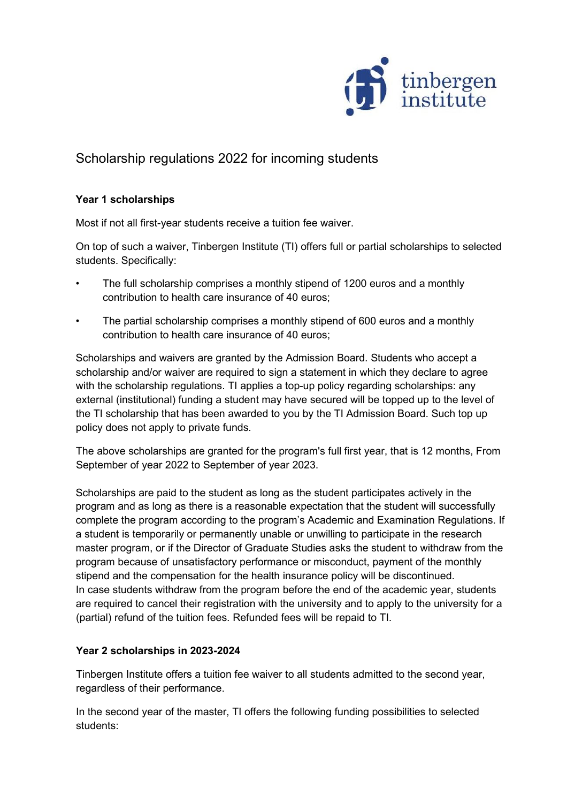

## Scholarship regulations 2022 for incoming students

## **Year 1 scholarships**

Most if not all first-year students receive a tuition fee waiver.

On top of such a waiver, Tinbergen Institute (TI) offers full or partial scholarships to selected students. Specifically:

- The full scholarship comprises a monthly stipend of 1200 euros and a monthly contribution to health care insurance of 40 euros;
- The partial scholarship comprises a monthly stipend of 600 euros and a monthly contribution to health care insurance of 40 euros;

Scholarships and waivers are granted by the Admission Board. Students who accept a scholarship and/or waiver are required to sign a statement in which they declare to agree with the scholarship regulations. TI applies a top-up policy regarding scholarships: any external (institutional) funding a student may have secured will be topped up to the level of the TI scholarship that has been awarded to you by the TI Admission Board. Such top up policy does not apply to private funds.

The above scholarships are granted for the program's full first year, that is 12 months, From September of year 2022 to September of year 2023.

Scholarships are paid to the student as long as the student participates actively in the program and as long as there is a reasonable expectation that the student will successfully complete the program according to the program's Academic and Examination Regulations. If a student is temporarily or permanently unable or unwilling to participate in the research master program, or if the Director of Graduate Studies asks the student to withdraw from the program because of unsatisfactory performance or misconduct, payment of the monthly stipend and the compensation for the health insurance policy will be discontinued. In case students withdraw from the program before the end of the academic year, students are required to cancel their registration with the university and to apply to the university for a (partial) refund of the tuition fees. Refunded fees will be repaid to TI.

## **Year 2 scholarships in 2023-2024**

Tinbergen Institute offers a tuition fee waiver to all students admitted to the second year, regardless of their performance.

In the second year of the master, TI offers the following funding possibilities to selected students: